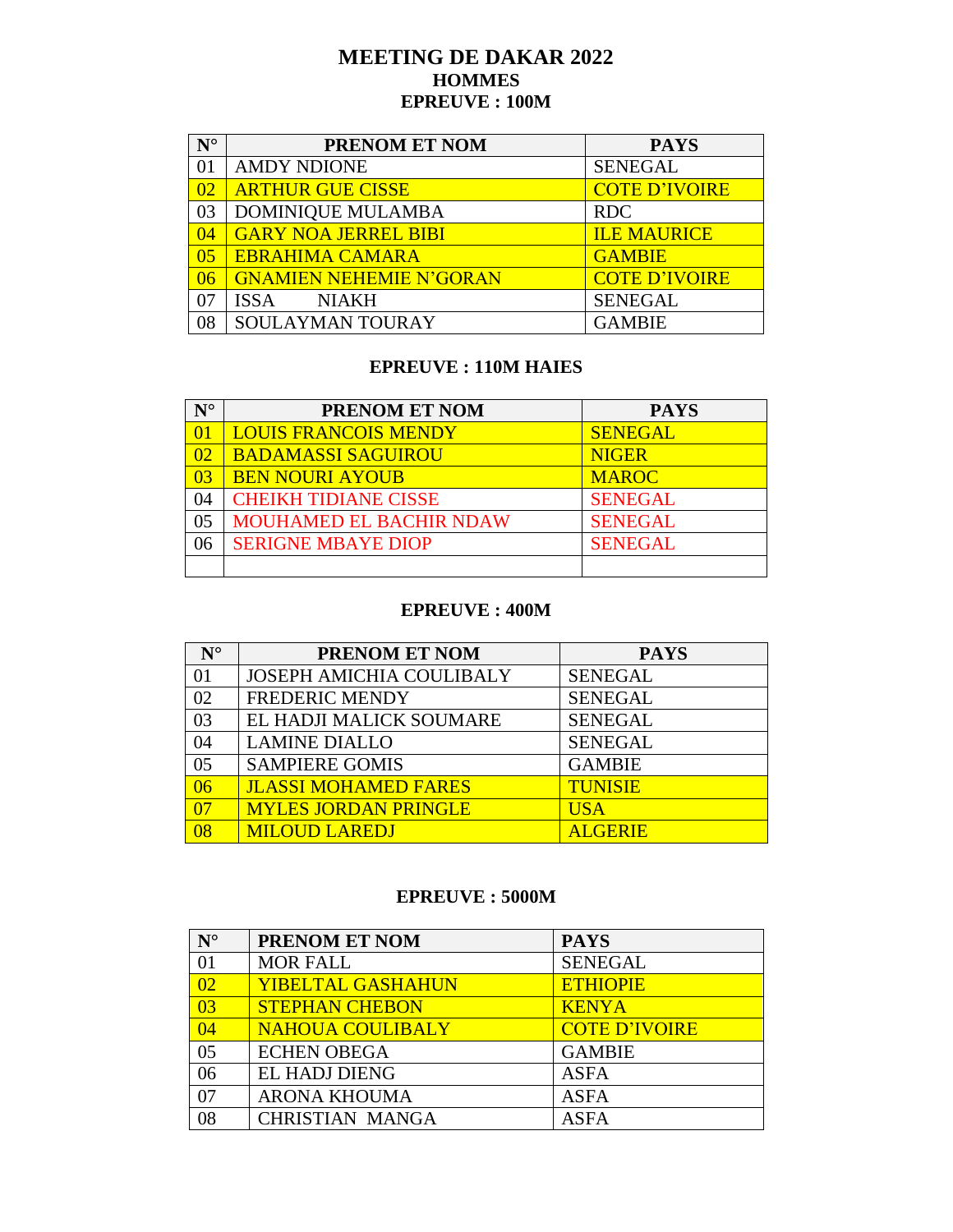## **MEETING DE DAKAR 2022 HOMMES EPREUVE : 100M**

| $N^{\circ}$     | PRENOM ET NOM                  | <b>PAYS</b>          |
|-----------------|--------------------------------|----------------------|
|                 | <b>AMDY NDIONE</b>             | <b>SENEGAL</b>       |
| $\overline{02}$ | <b>ARTHUR GUE CISSE</b>        | <b>COTE D'IVOIRE</b> |
| 03              | <b>DOMINIQUE MULAMBA</b>       | <b>RDC</b>           |
| 04              | <b>GARY NOA JERREL BIBI</b>    | <b>ILE MAURICE</b>   |
| 0 <sub>5</sub>  | <b>EBRAHIMA CAMARA</b>         | <b>GAMBIE</b>        |
| 06              | <b>GNAMIEN NEHEMIE N'GORAN</b> | <b>COTE D'IVOIRE</b> |
|                 | ISS A<br><b>NIAKH</b>          | <b>SENEGAL</b>       |
| 08              | <b>SOULAYMAN TOURAY</b>        | <b>GAMBIE</b>        |

#### **EPREUVE : 110M HAIES**

| $N^{\circ}$     | <b>PRENOM ET NOM</b>           | <b>PAYS</b>    |
|-----------------|--------------------------------|----------------|
|                 | <b>LOUIS FRANCOIS MENDY</b>    | <b>SENEGAL</b> |
| $\Omega$        | <b>BADAMASSI SAGUIROU</b>      | <b>NIGER</b>   |
| $\overline{03}$ | <b>BEN NOURI AYOUB</b>         | <b>MAROC</b>   |
|                 | <b>CHEIKH TIDIANE CISSE</b>    | <b>SENEGAL</b> |
|                 | <b>MOUHAMED EL BACHIR NDAW</b> | <b>SENEGAL</b> |
|                 | <b>SERIGNE MBAYE DIOP</b>      | <b>SENEGAL</b> |
|                 |                                |                |

### **EPREUVE : 400M**

| $N^{\circ}$ | PRENOM ET NOM                   | <b>PAYS</b>    |
|-------------|---------------------------------|----------------|
| 01          | <b>JOSEPH AMICHIA COULIBALY</b> | <b>SENEGAL</b> |
| 02          | <b>FREDERIC MENDY</b>           | <b>SENEGAL</b> |
| 03          | EL HADJI MALICK SOUMARE         | <b>SENEGAL</b> |
| 04          | <b>LAMINE DIALLO</b>            | <b>SENEGAL</b> |
| 05          | <b>SAMPIERE GOMIS</b>           | <b>GAMBIE</b>  |
| 06          | <b>JLASSI MOHAMED FARES</b>     | <b>TUNISIE</b> |
| 07          | <b>MYLES JORDAN PRINGLE</b>     | USA            |
| 08          | <b>MILOUD LAREDJ</b>            | <b>ALGERIE</b> |

#### **EPREUVE : 5000M**

| $N^{\circ}$     | PRENOM ET NOM            | <b>PAYS</b>          |
|-----------------|--------------------------|----------------------|
| 0 <sub>1</sub>  | <b>MOR FALL</b>          | <b>SENEGAL</b>       |
| $\overline{02}$ | <b>YIBELTAL GASHAHUN</b> | <b>ETHIOPIE</b>      |
| 0 <sub>3</sub>  | <b>STEPHAN CHEBON</b>    | <b>KENYA</b>         |
| 04              | <b>NAHOUA COULIBALY</b>  | <b>COTE D'IVOIRE</b> |
| 05              | <b>ECHEN OBEGA</b>       | <b>GAMBIE</b>        |
| 06              | <b>EL HADJ DIENG</b>     | <b>ASFA</b>          |
| 07              | <b>ARONA KHOUMA</b>      | <b>ASFA</b>          |
| 08              | <b>CHRISTIAN MANGA</b>   | <b>ASFA</b>          |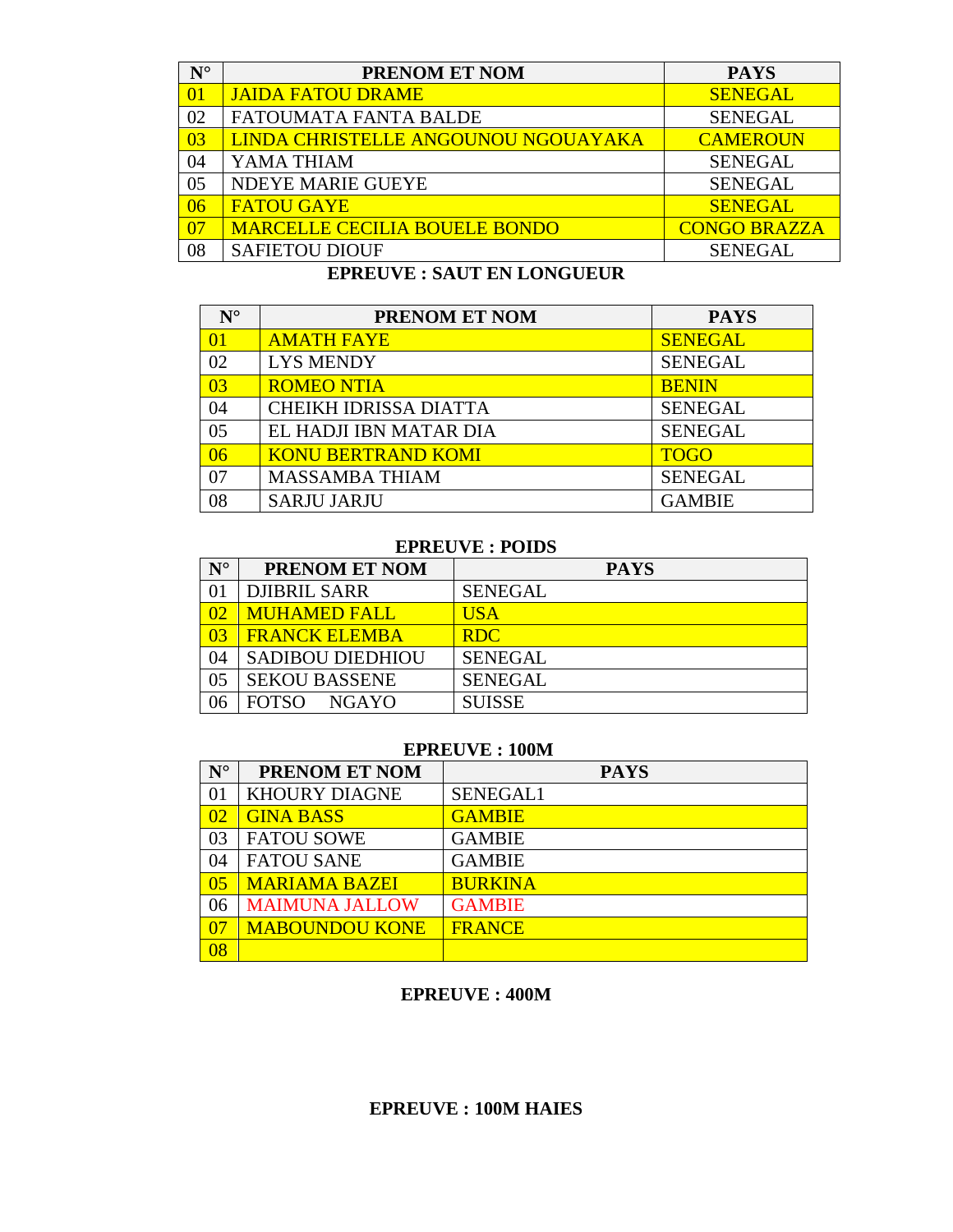| $N^{\circ}$     | <b>PRENOM ET NOM</b>                 | <b>PAYS</b>         |
|-----------------|--------------------------------------|---------------------|
|                 | <b>JAIDA FATOU DRAME</b>             | <b>SENEGAL</b>      |
| 02              | FATOUMATA FANTA BALDE                | <b>SENEGAL</b>      |
| $\overline{03}$ | LINDA CHRISTELLE ANGOUNOU NGOUAYAKA  | <b>CAMEROUN</b>     |
| 04              | YAMA THIAM                           | <b>SENEGAL</b>      |
| 05              | <b>NDEYE MARIE GUEYE</b>             | <b>SENEGAL</b>      |
| 06              | <b>FATOU GAYE</b>                    | <b>SENEGAL</b>      |
| 07              | <b>MARCELLE CECILIA BOUELE BONDO</b> | <b>CONGO BRAZZA</b> |
| 08              | <b>SAFIETOU DIOUF</b>                | <b>SENEGAL</b>      |

### **EPREUVE : SAUT EN LONGUEUR**

| $N^{\circ}$ | PRENOM ET NOM                | <b>PAYS</b>    |
|-------------|------------------------------|----------------|
| $\Omega$    | <b>AMATH FAYE</b>            | <b>SENEGAL</b> |
| 02          | <b>LYS MENDY</b>             | <b>SENEGAL</b> |
| 03          | <b>ROMEO NTIA</b>            | <b>BENIN</b>   |
| 04          | <b>CHEIKH IDRISSA DIATTA</b> | <b>SENEGAL</b> |
| 05          | EL HADJI IBN MATAR DIA       | <b>SENEGAL</b> |
| 06          | <b>KONU BERTRAND KOMI</b>    | <b>TOGO</b>    |
| 07          | <b>MASSAMBA THIAM</b>        | <b>SENEGAL</b> |
| 08          | <b>SARJU JARJU</b>           | <b>GAMBIE</b>  |

#### **EPREUVE : POIDS**

| $N^{\circ}$ | PRENOM ET NOM           | <b>PAYS</b>    |
|-------------|-------------------------|----------------|
|             | <b>DJIBRIL SARR</b>     | <b>SENEGAL</b> |
|             | <b>MUHAMED FALL</b>     | <b>USA</b>     |
| $\Omega$    | <b>FRANCK ELEMBA</b>    | RDC.           |
| 04          | <b>SADIBOU DIEDHIOU</b> | <b>SENEGAL</b> |
| 05          | <b>SEKOU BASSENE</b>    | <b>SENEGAL</b> |
|             | <b>FOTSO</b><br>NGAYO   | <b>SUISSE</b>  |

#### **EPREUVE : 100M**

| $N^{\circ}$     | <b>PRENOM ET NOM</b>  | <b>PAYS</b>     |
|-----------------|-----------------------|-----------------|
| 01              | <b>KHOURY DIAGNE</b>  | <b>SENEGAL1</b> |
| 02              | <b>GINA BASS</b>      | <b>GAMBIE</b>   |
| 03              | <b>FATOU SOWE</b>     | <b>GAMBIE</b>   |
| 04              | <b>FATOU SANE</b>     | <b>GAMBIE</b>   |
| 05              | <b>MARIAMA BAZEI</b>  | <b>BURKINA</b>  |
| 06              | <b>MAIMUNA JALLOW</b> | <b>GAMBIE</b>   |
| 07              | <b>MABOUNDOU KONE</b> | <b>FRANCE</b>   |
| $\overline{08}$ |                       |                 |

### **EPREUVE : 400M**

# **EPREUVE : 100M HAIES**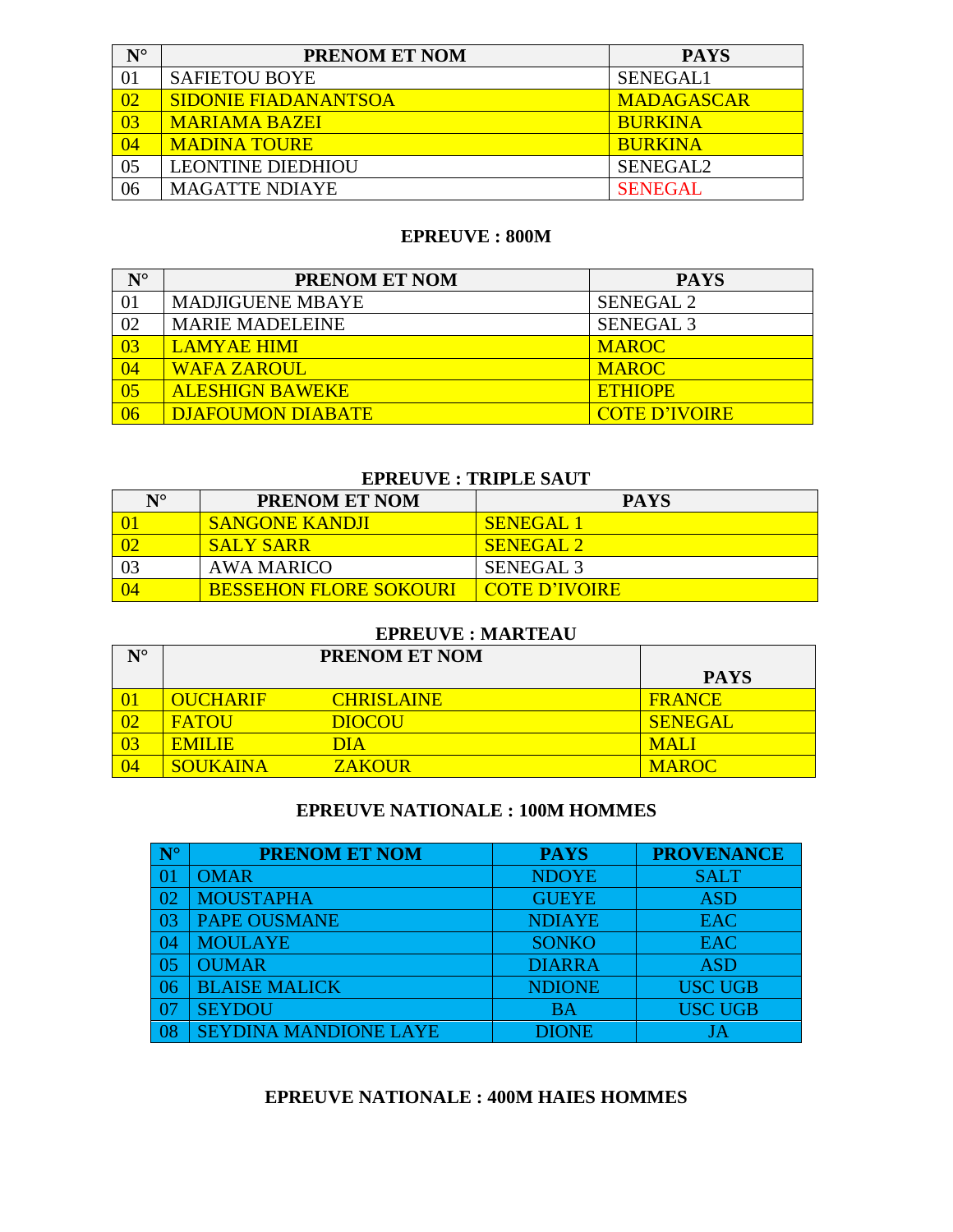| $\mathbf{N}^{\circ}$ | PRENOM ET NOM               | <b>PAYS</b>       |
|----------------------|-----------------------------|-------------------|
|                      | <b>SAFIETOU BOYE</b>        | <b>SENEGAL1</b>   |
| 0 <sub>2</sub>       | <b>SIDONIE FIADANANTSOA</b> | <b>MADAGASCAR</b> |
| 03                   | <b>MARIAMA BAZEI</b>        | <b>BURKINA</b>    |
|                      | <b>MADINA TOURE</b>         | <b>BURKINA</b>    |
| 05                   | <b>LEONTINE DIEDHIOU</b>    | SENEGAL2          |
| 06                   | <b>MAGATTE NDIAYE</b>       | <b>SENEGAL</b>    |

#### **EPREUVE : 800M**

| $\mathbf{N}^{\circ}$ | PRENOM ET NOM            | <b>PAYS</b>          |
|----------------------|--------------------------|----------------------|
|                      | <b>MADJIGUENE MBAYE</b>  | <b>SENEGAL 2</b>     |
| 02                   | <b>MARIE MADELEINE</b>   | <b>SENEGAL 3</b>     |
| 03                   | <b>LAMYAE HIMI</b>       | <b>MAROC</b>         |
|                      | <b>WAFA ZAROUL</b>       | <b>MAROC</b>         |
| 05                   | <b>ALESHIGN BAWEKE</b>   | <b>ETHIOPE</b>       |
|                      | <b>DJAFOUMON DIABATE</b> | <b>COTE D'IVOIRE</b> |

### **EPREUVE : TRIPLE SAUT**

| $\mathbf{N}^{\circ}$ | <b>PRENOM ET NOM</b>          | <b>PAYS</b>           |
|----------------------|-------------------------------|-----------------------|
|                      | <b>SANGONE KANDJI</b>         | <b>SENEGAL</b>        |
|                      | <b>SALY SARR</b>              | SENEGAL <sub>2</sub>  |
|                      | AWA MARICO                    | SENEGAL <sub>3</sub>  |
|                      | <b>BESSEHON FLORE SOKOURI</b> | <u>LCOTE D'IVOIRE</u> |

#### **EPREUVE : MARTEAU**

| $N^{\circ}$ |                 | <b>PRENOM ET NOM</b> |                |
|-------------|-----------------|----------------------|----------------|
|             |                 |                      | <b>PAYS</b>    |
|             | <b>OUCHARIF</b> | <b>CHRISLAINE</b>    | <b>FRANCE</b>  |
|             | <b>FATOU</b>    | <b>DIOCOU</b>        | <b>SENEGAL</b> |
| 03          | <b>EMILIE</b>   | <b>DIA</b>           | <b>MALI</b>    |
|             | <b>SOUKAINA</b> | <b>ZAKOUR</b>        | <b>MAROC</b>   |

### **EPREUVE NATIONALE : 100M HOMMES**

|    | <b>PRENOM ET NOM</b>         | <b>PAYS</b>   | <b>PROVENANCE</b> |
|----|------------------------------|---------------|-------------------|
|    | <b>OMAR</b>                  | <b>NDOYE</b>  | <b>SALT</b>       |
|    | <b>MOUSTAPHA</b>             | <b>GUEYE</b>  | <b>ASD</b>        |
| 03 | <b>PAPE OUSMANE</b>          | <b>NDIAYE</b> | <b>EAC</b>        |
|    | <b>MOULAYE</b>               | <b>SONKO</b>  | <b>EAC</b>        |
| 05 | <b>OUMAR</b>                 | <b>DIARRA</b> | <b>ASD</b>        |
|    | <b>BLAISE MALICK</b>         | <b>NDIONE</b> | <b>USC UGB</b>    |
|    | <b>SEYDOU</b>                | BA            | <b>USC UGB</b>    |
|    | <b>SEYDINA MANDIONE LAYE</b> | ONE           |                   |

## **EPREUVE NATIONALE : 400M HAIES HOMMES**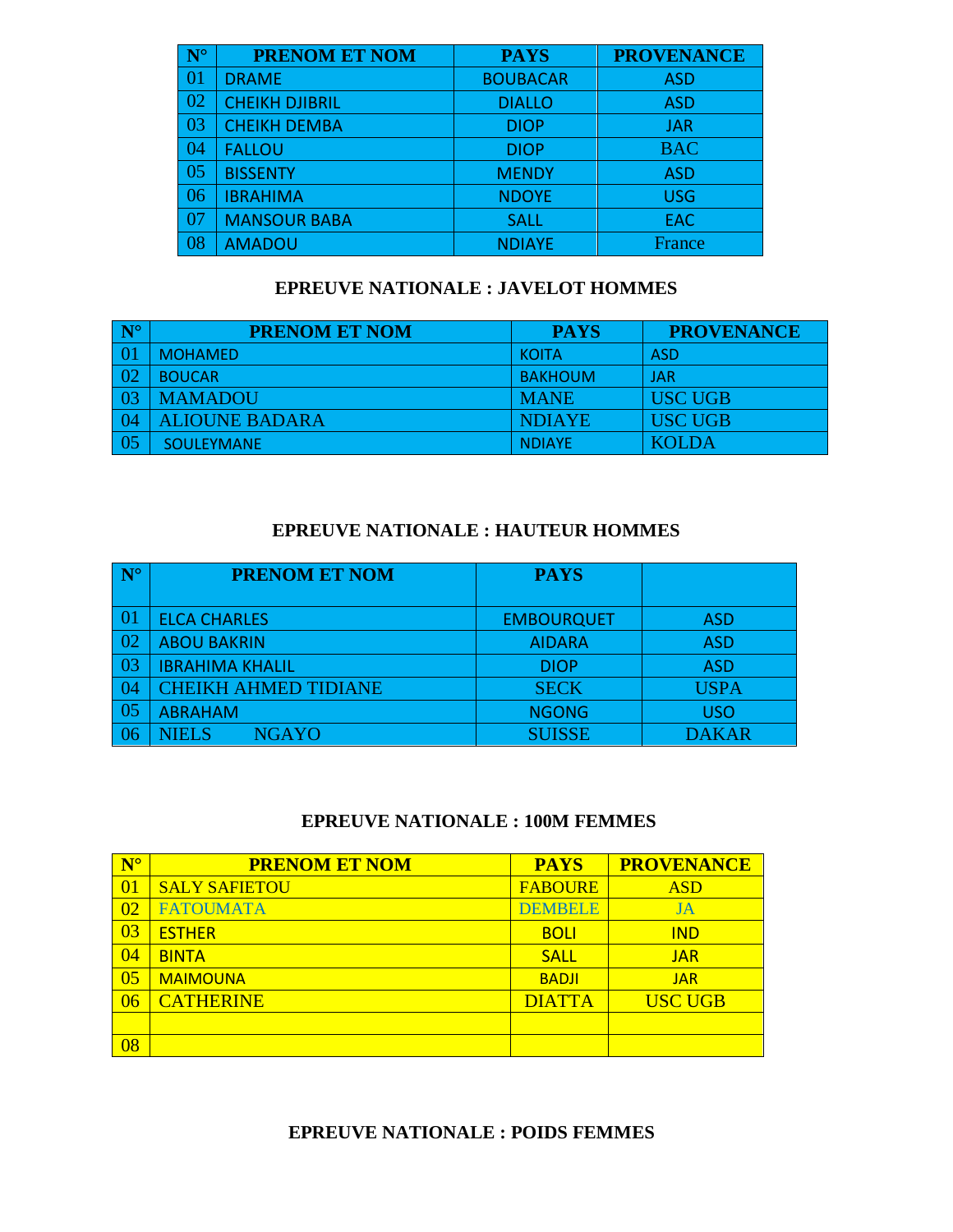| $\mathbf{N}^{\circ}$ | <b>PRENOM ET NOM</b>  | <b>PAYS</b>     | <b>PROVENANCE</b> |
|----------------------|-----------------------|-----------------|-------------------|
| 01                   | <b>DRAME</b>          | <b>BOUBACAR</b> | <b>ASD</b>        |
| 02                   | <b>CHEIKH DJIBRIL</b> | <b>DIALLO</b>   | <b>ASD</b>        |
| 03                   | <b>CHEIKH DEMBA</b>   | <b>DIOP</b>     | JAR               |
| 04                   | <b>FALLOU</b>         | <b>DIOP</b>     | <b>BAC</b>        |
| 05                   | <b>BISSENTY</b>       | <b>MENDY</b>    | <b>ASD</b>        |
| 06                   | <b>IBRAHIMA</b>       | <b>NDOYE</b>    | <b>USG</b>        |
| 07                   | <b>MANSOUR BABA</b>   | <b>SALL</b>     | <b>EAC</b>        |
| 08                   | <b>AMADOU</b>         | <b>NDIAYE</b>   | France            |

# **EPREUVE NATIONALE : JAVELOT HOMMES**

| $N^{\circ}$ | <b>PRENOM ET NOM</b>  | <b>PAYS</b>    | <b>PROVENANCE</b> |
|-------------|-----------------------|----------------|-------------------|
|             | <b>MOHAMED</b>        | <b>KOITA</b>   | <b>ASD</b>        |
| 02          | <b>BOUCAR</b>         | <b>BAKHOUM</b> | JAR               |
|             | <b>MAMADOU</b>        | <b>MANE</b>    | <b>USC UGB</b>    |
| - 04        | <b>ALIOUNE BADARA</b> | <b>NDIAYE</b>  | <b>USC UGB</b>    |
| - 05        | <b>SOULEYMANE</b>     | <b>NDIAYE</b>  | <b>KOLDA</b>      |

# **EPREUVE NATIONALE : HAUTEUR HOMMES**

| $\blacksquare$ | <b>PRENOM ET NOM</b>   | <b>PAYS</b>       |              |
|----------------|------------------------|-------------------|--------------|
|                |                        |                   |              |
| $\overline{0}$ | <b>ELCA CHARLES</b>    | <b>EMBOURQUET</b> | <b>ASD</b>   |
| 02             | <b>ABOU BAKRIN</b>     | <b>AIDARA</b>     | <b>ASD</b>   |
| 03             | <b>IBRAHIMA KHALIL</b> | <b>DIOP</b>       | <b>ASD</b>   |
| 04             | CHEIKH AHMED TIDIANE   | <b>SECK</b>       | <b>USPA</b>  |
| 05             | <b>ABRAHAM</b>         | <b>NGONG</b>      | <b>USO</b>   |
|                | <b>NGAYO</b><br>VIEL S | <b>SUISSE</b>     | <b>DAKAR</b> |

# **EPREUVE NATIONALE : 100M FEMMES**

| $N^{\circ}$     | <b>PRENOM ET NOM</b> | <b>PAYS</b>    | <b>PROVENANCE</b> |
|-----------------|----------------------|----------------|-------------------|
| 01              | <b>SALY SAFIETOU</b> | <b>FABOURE</b> | <b>ASD</b>        |
| 0 <sub>2</sub>  | <b>FATOUMATA</b>     | <b>DEMBELE</b> | JA                |
| 03              | <b>ESTHER</b>        | <b>BOLI</b>    | <b>IND</b>        |
| $\overline{04}$ | <b>BINTA</b>         | <b>SALL</b>    | <b>JAR</b>        |
| 0 <sub>5</sub>  | <b>MAIMOUNA</b>      | <b>BADJI</b>   | <b>JAR</b>        |
| 06              | <b>CATHERINE</b>     | <b>DIATTA</b>  | <b>USC UGB</b>    |
|                 |                      |                |                   |
| $\overline{08}$ |                      |                |                   |

#### **EPREUVE NATIONALE : POIDS FEMMES**